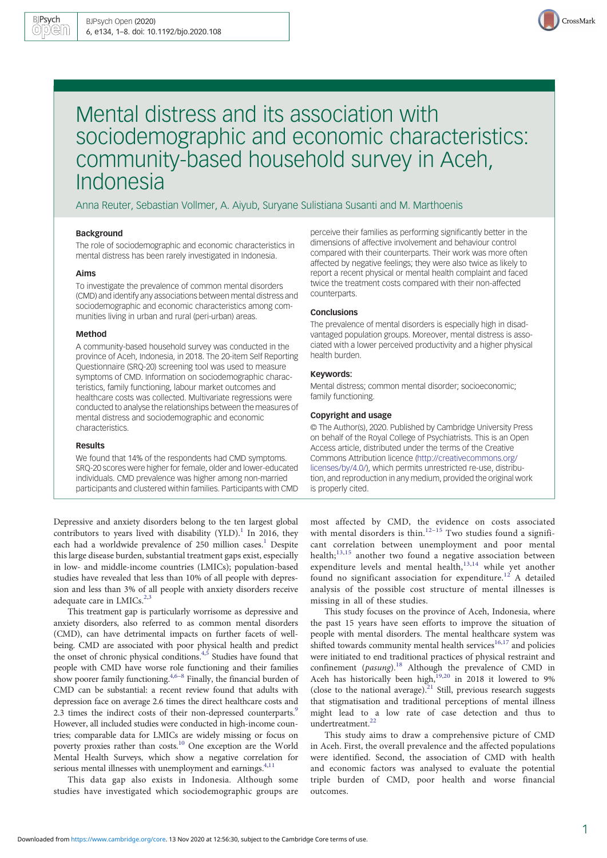

# Mental distress and its association with sociodemographic and economic characteristics: community-based household survey in Aceh, Indonesia

Anna Reuter, Sebastian Vollmer, A. Aiyub, Suryane Sulistiana Susanti and M. Marthoenis

#### Background

The role of sociodemographic and economic characteristics in mental distress has been rarely investigated in Indonesia.

#### Aims

To investigate the prevalence of common mental disorders (CMD) and identify any associations between mental distress and sociodemographic and economic characteristics among communities living in urban and rural (peri-urban) areas.

## Method

A community-based household survey was conducted in the province of Aceh, Indonesia, in 2018. The 20-item Self Reporting Questionnaire (SRQ-20) screening tool was used to measure symptoms of CMD. Information on sociodemographic characteristics, family functioning, labour market outcomes and healthcare costs was collected. Multivariate regressions were conducted to analyse the relationships between the measures of mental distress and sociodemographic and economic characteristics.

#### Results

We found that 14% of the respondents had CMD symptoms. SRQ-20 scores were higher for female, older and lower-educated individuals. CMD prevalence was higher among non-married participants and clustered within families. Participants with CMD

Depressive and anxiety disorders belong to the ten largest global contributors to years lived with disability (YLD).<sup>[1](#page-6-0)</sup> In 2016, they each had a worldwide prevalence of 250 million cases.<sup>[1](#page-6-0)</sup> Despite this large disease burden, substantial treatment gaps exist, especially in low- and middle-income countries (LMICs); population-based studies have revealed that less than 10% of all people with depression and less than 3% of all people with anxiety disorders receive adequate care in LMICs. $^{2,3}$  $^{2,3}$  $^{2,3}$  $^{2,3}$  $^{2,3}$ 

This treatment gap is particularly worrisome as depressive and anxiety disorders, also referred to as common mental disorders (CMD), can have detrimental impacts on further facets of wellbeing. CMD are associated with poor physical health and predict the onset of chronic physical conditions.<sup>4,[5](#page-6-0)</sup> Studies have found that people with CMD have worse role functioning and their families show poorer family functioning.<sup>[4,6](#page-6-0)–[8](#page-6-0)</sup> Finally, the financial burden of CMD can be substantial: a recent review found that adults with depression face on average 2.6 times the direct healthcare costs and 2.3 times the indirect costs of their non-depressed counterparts.<sup>9</sup> However, all included studies were conducted in high-income countries; comparable data for LMICs are widely missing or focus on poverty proxies rather than costs.[10](#page-6-0) One exception are the World Mental Health Surveys, which show a negative correlation for serious mental illnesses with unemployment and earnings.<sup>[4,11](#page-6-0)</sup>

This data gap also exists in Indonesia. Although some studies have investigated which sociodemographic groups are perceive their families as performing significantly better in the dimensions of affective involvement and behaviour control compared with their counterparts. Their work was more often affected by negative feelings; they were also twice as likely to report a recent physical or mental health complaint and faced twice the treatment costs compared with their non-affected counterparts.

#### Conclusions

The prevalence of mental disorders is especially high in disadvantaged population groups. Moreover, mental distress is associated with a lower perceived productivity and a higher physical health burden.

# Keywords:

Mental distress; common mental disorder; socioeconomic; family functioning.

## Copyright and usage

© The Author(s), 2020. Published by Cambridge University Press on behalf of the Royal College of Psychiatrists. This is an Open Access article, distributed under the terms of the Creative Commons Attribution licence [\(http://creativecommons.org/](http://creativecommons.org/licenses/by/4.0/) [licenses/by/4.0/](http://creativecommons.org/licenses/by/4.0/)), which permits unrestricted re-use, distribution, and reproduction in any medium, provided the original work is properly cited.

most affected by CMD, the evidence on costs associated with mental disorders is thin. $12-15$  $12-15$  $12-15$  Two studies found a significant correlation between unemployment and poor mental health;<sup>[13,15](#page-6-0)</sup> another two found a negative association between expenditure levels and mental health,<sup>[13](#page-6-0),[14](#page-6-0)</sup> while yet another found no significant association for expenditure.<sup>[12](#page-6-0)</sup> A detailed analysis of the possible cost structure of mental illnesses is missing in all of these studies.

This study focuses on the province of Aceh, Indonesia, where the past 15 years have seen efforts to improve the situation of people with mental disorders. The mental healthcare system was shifted towards community mental health services $16,17$  $16,17$  $16,17$  and policies were initiated to end traditional practices of physical restraint and confinement (*pasung*).<sup>[18](#page-6-0)</sup> Although the prevalence of CMD in Aceh has historically been high,<sup>19,20</sup> in 2018 it lowered to 9% (close to the national average). $21$  Still, previous research suggests that stigmatisation and traditional perceptions of mental illness might lead to a low rate of case detection and thus to undertreatment.<sup>[22](#page-6-0)</sup>

This study aims to draw a comprehensive picture of CMD in Aceh. First, the overall prevalence and the affected populations were identified. Second, the association of CMD with health and economic factors was analysed to evaluate the potential triple burden of CMD, poor health and worse financial outcomes.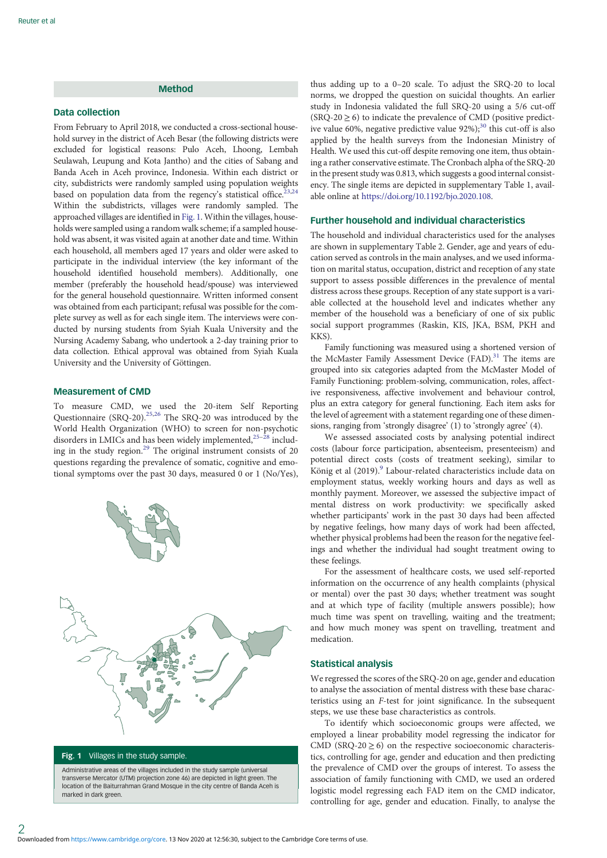# Method

## Data collection

From February to April 2018, we conducted a cross-sectional household survey in the district of Aceh Besar (the following districts were excluded for logistical reasons: Pulo Aceh, Lhoong, Lembah Seulawah, Leupung and Kota Jantho) and the cities of Sabang and Banda Aceh in Aceh province, Indonesia. Within each district or city, subdistricts were randomly sampled using population weights based on population data from the regency's statistical office.<sup>23,24</sup> Within the subdistricts, villages were randomly sampled. The approached villages are identified in Fig. 1. Within the villages, households were sampled using a random walk scheme; if a sampled household was absent, it was visited again at another date and time. Within each household, all members aged 17 years and older were asked to participate in the individual interview (the key informant of the household identified household members). Additionally, one member (preferably the household head/spouse) was interviewed for the general household questionnaire. Written informed consent was obtained from each participant; refusal was possible for the complete survey as well as for each single item. The interviews were conducted by nursing students from Syiah Kuala University and the Nursing Academy Sabang, who undertook a 2-day training prior to data collection. Ethical approval was obtained from Syiah Kuala University and the University of Göttingen.

## Measurement of CMD

To measure CMD, we used the 20-item Self Reporting Questionnaire (SRQ-20).<sup>[25,26](#page-7-0)</sup> The SRQ-20 was introduced by the World Health Organization (WHO) to screen for non-psychotic disorders in LMICs and has been widely implemented,<sup>25-[28](#page-7-0)</sup> including in the study region.[29](#page-7-0) The original instrument consists of 20 questions regarding the prevalence of somatic, cognitive and emotional symptoms over the past 30 days, measured 0 or 1 (No/Yes),



Fig. 1 Villages in the study sample.

Administrative areas of the villages included in the study sample (universal transverse Mercator (UTM) projection zone 46) are depicted in light green. The location of the Baiturrahman Grand Mosque in the city centre of Banda Aceh is marked in dark green.

thus adding up to a 0–20 scale. To adjust the SRQ-20 to local norms, we dropped the question on suicidal thoughts. An earlier study in Indonesia validated the full SRQ-20 using a 5/6 cut-off  $(SRQ-20 \ge 6)$  to indicate the prevalence of CMD (positive predictive value 60%, negative predictive value  $92\%$ );<sup>[30](#page-7-0)</sup> this cut-off is also applied by the health surveys from the Indonesian Ministry of Health. We used this cut-off despite removing one item, thus obtaining a rather conservative estimate. The Cronbach alpha of the SRQ-20 in the present study was 0.813, which suggests a good internal consistency. The single items are depicted in supplementary Table 1, available online at [https://doi.org/10.1192/bjo.2020.108.](https://doi.org/10.1192/bjo.2020.108)

# Further household and individual characteristics

The household and individual characteristics used for the analyses are shown in supplementary Table 2. Gender, age and years of education served as controls in the main analyses, and we used information on marital status, occupation, district and reception of any state support to assess possible differences in the prevalence of mental distress across these groups. Reception of any state support is a variable collected at the household level and indicates whether any member of the household was a beneficiary of one of six public social support programmes (Raskin, KIS, JKA, BSM, PKH and KKS).

Family functioning was measured using a shortened version of the McMaster Family Assessment Device (FAD).<sup>[31](#page-7-0)</sup> The items are grouped into six categories adapted from the McMaster Model of Family Functioning: problem-solving, communication, roles, affective responsiveness, affective involvement and behaviour control, plus an extra category for general functioning. Each item asks for the level of agreement with a statement regarding one of these dimensions, ranging from 'strongly disagree' (1) to 'strongly agree' (4).

We assessed associated costs by analysing potential indirect costs (labour force participation, absenteeism, presenteeism) and potential direct costs (costs of treatment seeking), similar to König et al (201[9](#page-6-0)).<sup>9</sup> Labour-related characteristics include data on employment status, weekly working hours and days as well as monthly payment. Moreover, we assessed the subjective impact of mental distress on work productivity: we specifically asked whether participants' work in the past 30 days had been affected by negative feelings, how many days of work had been affected, whether physical problems had been the reason for the negative feelings and whether the individual had sought treatment owing to these feelings.

For the assessment of healthcare costs, we used self-reported information on the occurrence of any health complaints (physical or mental) over the past 30 days; whether treatment was sought and at which type of facility (multiple answers possible); how much time was spent on travelling, waiting and the treatment; and how much money was spent on travelling, treatment and medication.

# Statistical analysis

We regressed the scores of the SRQ-20 on age, gender and education to analyse the association of mental distress with these base characteristics using an F-test for joint significance. In the subsequent steps, we use these base characteristics as controls.

To identify which socioeconomic groups were affected, we employed a linear probability model regressing the indicator for CMD ( $S RQ-20 \ge 6$ ) on the respective socioeconomic characteristics, controlling for age, gender and education and then predicting the prevalence of CMD over the groups of interest. To assess the association of family functioning with CMD, we used an ordered logistic model regressing each FAD item on the CMD indicator, controlling for age, gender and education. Finally, to analyse the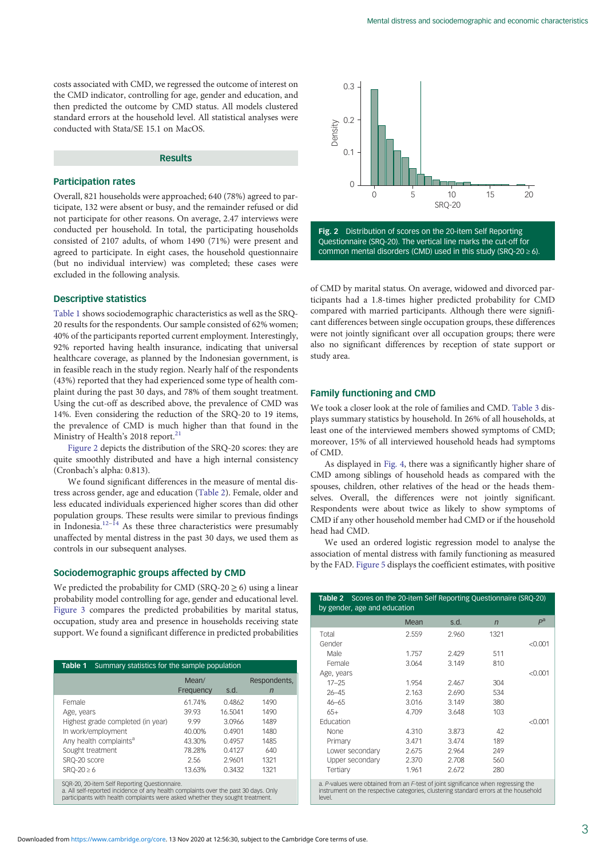costs associated with CMD, we regressed the outcome of interest on the CMD indicator, controlling for age, gender and education, and then predicted the outcome by CMD status. All models clustered standard errors at the household level. All statistical analyses were conducted with Stata/SE 15.1 on MacOS.

## Results

#### Participation rates

Overall, 821 households were approached; 640 (78%) agreed to participate, 132 were absent or busy, and the remainder refused or did not participate for other reasons. On average, 2.47 interviews were conducted per household. In total, the participating households consisted of 2107 adults, of whom 1490 (71%) were present and agreed to participate. In eight cases, the household questionnaire (but no individual interview) was completed; these cases were excluded in the following analysis.

#### Descriptive statistics

Table 1 shows sociodemographic characteristics as well as the SRQ-20 results for the respondents. Our sample consisted of 62% women; 40% of the participants reported current employment. Interestingly, 92% reported having health insurance, indicating that universal healthcare coverage, as planned by the Indonesian government, is in feasible reach in the study region. Nearly half of the respondents (43%) reported that they had experienced some type of health complaint during the past 30 days, and 78% of them sought treatment. Using the cut-off as described above, the prevalence of CMD was 14%. Even considering the reduction of the SRQ-20 to 19 items, the prevalence of CMD is much higher than that found in the Ministry of Health's 2018 report.<sup>21</sup>

Figure 2 depicts the distribution of the SRQ-20 scores: they are quite smoothly distributed and have a high internal consistency (Cronbach's alpha: 0.813).

We found significant differences in the measure of mental distress across gender, age and education (Table 2). Female, older and less educated individuals experienced higher scores than did other population groups. These results were similar to previous findings in Indonesia.<sup>[12](#page-6-0)–[14](#page-6-0)</sup> As these three characteristics were presumably unaffected by mental distress in the past 30 days, we used them as controls in our subsequent analyses.

# Sociodemographic groups affected by CMD

We predicted the probability for CMD (SRQ-20  $\geq$  6) using a linear probability model controlling for age, gender and educational level. [Figure 3](#page-3-0) compares the predicted probabilities by marital status, occupation, study area and presence in households receiving state support. We found a significant difference in predicted probabilities

| Table 1<br>Summary statistics for the sample population                                                                                                                                                               |                    |         |                   |  |
|-----------------------------------------------------------------------------------------------------------------------------------------------------------------------------------------------------------------------|--------------------|---------|-------------------|--|
|                                                                                                                                                                                                                       | Mean/<br>Frequency | s.d.    | Respondents.<br>n |  |
| Female                                                                                                                                                                                                                | 61.74%             | 0.4862  | 1490              |  |
| Age, years                                                                                                                                                                                                            | 39.93              | 16.5041 | 1490              |  |
| Highest grade completed (in year)                                                                                                                                                                                     | 9.99               | 3.0966  | 1489              |  |
| In work/employment                                                                                                                                                                                                    | 40.00%             | 0.4901  | 1480              |  |
| Any health complaints <sup>a</sup>                                                                                                                                                                                    | 43.30%             | 0.4957  | 1485              |  |
| Sought treatment                                                                                                                                                                                                      | 78.28%             | 0.4127  | 640               |  |
| SRQ-20 score                                                                                                                                                                                                          | 2.56               | 2.9601  | 1321              |  |
| $SRO-20 \ge 6$                                                                                                                                                                                                        | 13.63%             | 0.3432  | 1321              |  |
| SQR-20, 20-item Self Reporting Questionnaire.<br>a. All self-reported incidence of any health complaints over the past 30 days. Only<br>participants with health complaints were asked whether they sought treatment. |                    |         |                   |  |



Fig. 2 Distribution of scores on the 20-item Self Reporting Questionnaire (SRQ-20). The vertical line marks the cut-off for common mental disorders (CMD) used in this study (SRQ-20  $\geq$  6).

of CMD by marital status. On average, widowed and divorced participants had a 1.8-times higher predicted probability for CMD compared with married participants. Although there were significant differences between single occupation groups, these differences were not jointly significant over all occupation groups; there were also no significant differences by reception of state support or study area.

## Family functioning and CMD

We took a closer look at the role of families and CMD. [Table 3](#page-3-0) displays summary statistics by household. In 26% of all households, at least one of the interviewed members showed symptoms of CMD; moreover, 15% of all interviewed household heads had symptoms of CMD.

As displayed in [Fig. 4,](#page-4-0) there was a significantly higher share of CMD among siblings of household heads as compared with the spouses, children, other relatives of the head or the heads themselves. Overall, the differences were not jointly significant. Respondents were about twice as likely to show symptoms of CMD if any other household member had CMD or if the household head had CMD.

We used an ordered logistic regression model to analyse the association of mental distress with family functioning as measured by the FAD. [Figure 5](#page-4-0) displays the coefficient estimates, with positive

| <b>Table 2</b> Scores on the 20-item Self Reporting Questionnaire (SRQ-20)<br>by gender, age and education |       |       |                |         |
|------------------------------------------------------------------------------------------------------------|-------|-------|----------------|---------|
|                                                                                                            | Mean  | s.d.  | $\overline{n}$ | $P^a$   |
| Total                                                                                                      | 2.559 | 2.960 | 1321           |         |
| Gender                                                                                                     |       |       |                | < 0.001 |
| Male                                                                                                       | 1.757 | 2.429 | 511            |         |
| Female                                                                                                     | 3.064 | 3.149 | 810            |         |
| Age, years                                                                                                 |       |       |                | < 0.001 |
| $17 - 25$                                                                                                  | 1.954 | 2.467 | 304            |         |
| $26 - 45$                                                                                                  | 2.163 | 2.690 | 534            |         |
| $46 - 65$                                                                                                  | 3.016 | 3.149 | 380            |         |
| $65+$                                                                                                      | 4.709 | 3.648 | 103            |         |
| Fducation                                                                                                  |       |       |                | < 0.001 |
| None                                                                                                       | 4.310 | 3.873 | 42             |         |
| Primary                                                                                                    | 3.471 | 3.474 | 189            |         |
| Lower secondary                                                                                            | 2.675 | 2.964 | 249            |         |
| Upper secondary                                                                                            | 2.370 | 2.708 | 560            |         |
| Tertiary                                                                                                   | 1.961 | 2.672 | 280            |         |

a. P-values were obtained from an F-test of joint significance when regressing the instrument on the respective categories, clustering standard errors at the household level.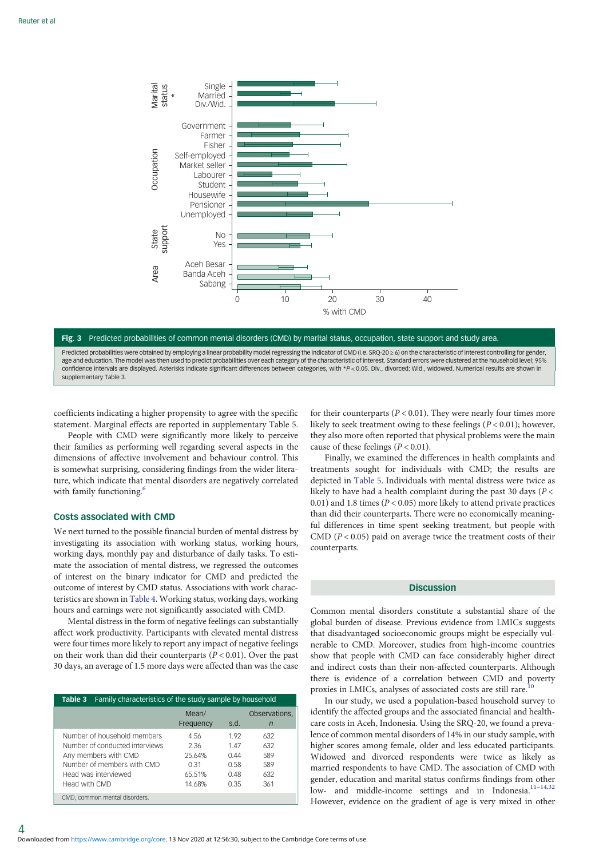<span id="page-3-0"></span>

Fig. 3 Predicted probabilities of common mental disorders (CMD) by marital status, occupation, state support and study area. Predicted probabilities were obtained by employing a linear probability model regressing the indicator of CMD (i.e. SRQ-20 ≥ 6) on the characteristic of interest controlling for gender, age and education. The model was then used to predict probabilities over each category of the characteristic of interest. Standard errors were clustered at the household level; 95% confidence intervals are displayed. Asterisks indicate significant differences between categories, with \*P < 0.05. Div., divorced; Wid., widowed. Numerical results are shown in supplementary Table 3.

coefficients indicating a higher propensity to agree with the specific statement. Marginal effects are reported in supplementary Table 5.

People with CMD were significantly more likely to perceive their families as performing well regarding several aspects in the dimensions of affective involvement and behaviour control. This is somewhat surprising, considering findings from the wider literature, which indicate that mental disorders are negatively correlated with family functioning.<sup>[6](#page-6-0)</sup>

## Costs associated with CMD

We next turned to the possible financial burden of mental distress by investigating its association with working status, working hours, working days, monthly pay and disturbance of daily tasks. To estimate the association of mental distress, we regressed the outcomes of interest on the binary indicator for CMD and predicted the outcome of interest by CMD status. Associations with work characteristics are shown in [Table 4.](#page-5-0) Working status, working days, working hours and earnings were not significantly associated with CMD.

Mental distress in the form of negative feelings can substantially affect work productivity. Participants with elevated mental distress were four times more likely to report any impact of negative feelings on their work than did their counterparts  $(P < 0.01)$ . Over the past 30 days, an average of 1.5 more days were affected than was the case

| Family characteristics of the study sample by household<br>Table 3                                                                                           |                                                    |                                            |                                        |
|--------------------------------------------------------------------------------------------------------------------------------------------------------------|----------------------------------------------------|--------------------------------------------|----------------------------------------|
|                                                                                                                                                              | Mean/<br>Frequency                                 | s.d.                                       | Observations,<br>n                     |
| Number of household members<br>Number of conducted interviews<br>Any members with CMD<br>Number of members with CMD<br>Head was interviewed<br>Head with CMD | 4.56<br>2.36<br>25.64%<br>0.31<br>65.51%<br>14.68% | 192<br>147<br>0.44<br>0.58<br>0.48<br>0.35 | 632<br>632<br>589<br>589<br>632<br>361 |
| CMD, common mental disorders.                                                                                                                                |                                                    |                                            |                                        |

for their counterparts ( $P < 0.01$ ). They were nearly four times more likely to seek treatment owing to these feelings ( $P < 0.01$ ); however, they also more often reported that physical problems were the main cause of these feelings  $(P < 0.01)$ .

Finally, we examined the differences in health complaints and treatments sought for individuals with CMD; the results are depicted in [Table 5](#page-5-0). Individuals with mental distress were twice as likely to have had a health complaint during the past 30 days ( $P$  < 0.01) and 1.8 times ( $P < 0.05$ ) more likely to attend private practices than did their counterparts. There were no economically meaningful differences in time spent seeking treatment, but people with CMD ( $P < 0.05$ ) paid on average twice the treatment costs of their counterparts.

# **Discussion**

Common mental disorders constitute a substantial share of the global burden of disease. Previous evidence from LMICs suggests that disadvantaged socioeconomic groups might be especially vulnerable to CMD. Moreover, studies from high-income countries show that people with CMD can face considerably higher direct and indirect costs than their non-affected counterparts. Although there is evidence of a correlation between CMD and poverty proxies in LMICs, analyses of associated costs are still rare.<sup>10</sup>

In our study, we used a population-based household survey to identify the affected groups and the associated financial and healthcare costs in Aceh, Indonesia. Using the SRQ-20, we found a prevalence of common mental disorders of 14% in our study sample, with higher scores among female, older and less educated participants. Widowed and divorced respondents were twice as likely as married respondents to have CMD. The association of CMD with gender, education and marital status confirms findings from other low- and middle-income settings and in Indonesia.<sup>[11](#page-6-0)-[14,](#page-6-0)[32](#page-7-0)</sup> However, evidence on the gradient of age is very mixed in other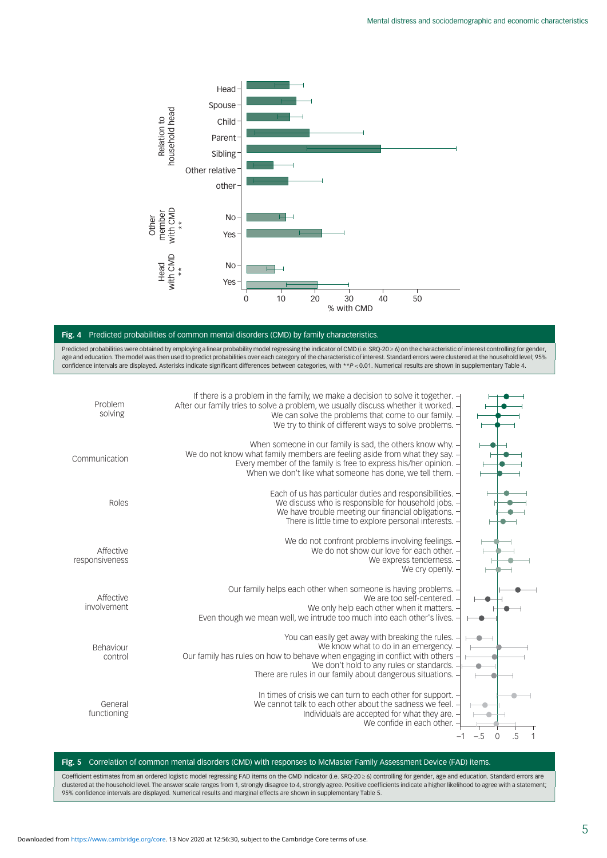<span id="page-4-0"></span>

# Fig. 4 Predicted probabilities of common mental disorders (CMD) by family characteristics.

Predicted probabilities were obtained by employing a linear probability model regressing the indicator of CMD (i.e. SRQ-20 ≥ 6) on the characteristic of interest controlling for gender, age and education. The model was then used to predict probabilities over each category of the characteristic of interest. Standard errors were clustered at the household level; 95% confidence intervals are displayed. Asterisks indicate significant differences between categories, with \*\*P < 0.01. Numerical results are shown in supplementary Table 4.



## Fig. 5 Correlation of common mental disorders (CMD) with responses to McMaster Family Assessment Device (FAD) items.

Coefficient estimates from an ordered logistic model regressing FAD items on the CMD indicator (i.e. SRQ-20 ≥ 6) controlling for gender, age and education. Standard errors are clustered at the household level. The answer scale ranges from 1, strongly disagree to 4, strongly agree. Positive coefficients indicate a higher likelihood to agree with a statement,<br>95% confidence intervals are displayed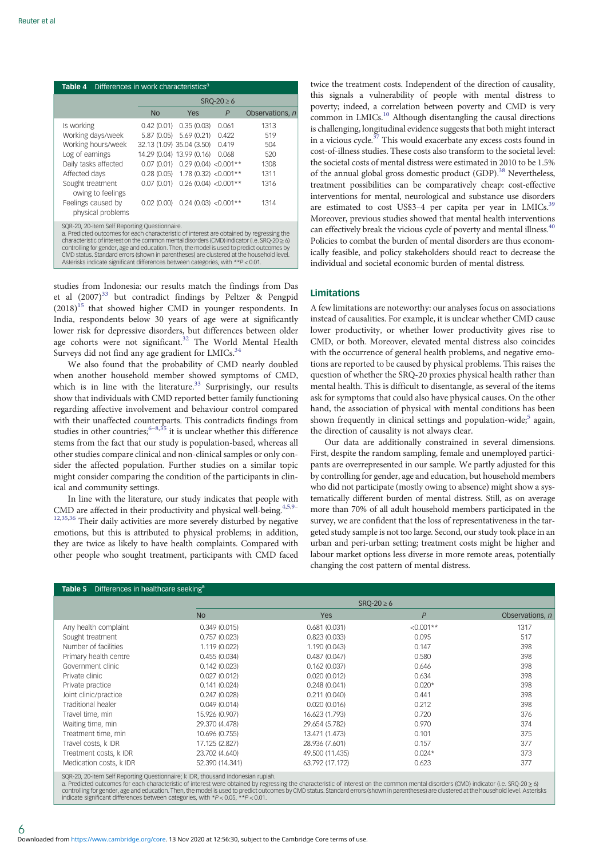<span id="page-5-0"></span>

| Differences in work characteristics <sup>a</sup><br>Table 4                                                                                                                                                                                                                                                                                                                                                                                                                                                               |                                                                                   |                                                                                                                                                                                              |                                  |                                                           |
|---------------------------------------------------------------------------------------------------------------------------------------------------------------------------------------------------------------------------------------------------------------------------------------------------------------------------------------------------------------------------------------------------------------------------------------------------------------------------------------------------------------------------|-----------------------------------------------------------------------------------|----------------------------------------------------------------------------------------------------------------------------------------------------------------------------------------------|----------------------------------|-----------------------------------------------------------|
|                                                                                                                                                                                                                                                                                                                                                                                                                                                                                                                           | $SRO-20 \ge 6$                                                                    |                                                                                                                                                                                              |                                  |                                                           |
|                                                                                                                                                                                                                                                                                                                                                                                                                                                                                                                           | <b>No</b>                                                                         | Yes                                                                                                                                                                                          | P                                | Observations, n                                           |
| Is working<br>Working days/week<br>Working hours/week<br>Log of earnings<br>Daily tasks affected<br>Affected days<br>Sought treatment<br>owing to feelings<br>Feelings caused by<br>physical problems                                                                                                                                                                                                                                                                                                                     | 0.42(0.01)<br>5.87 (0.05)<br>0.07(0.01)<br>0.28(0.05)<br>0.07(0.01)<br>0.02(0.00) | 0.35(0.03)<br>5.69(0.21)<br>32.13 (1.09) 35.04 (3.50)<br>14.29 (0.04) 13.99 (0.16)<br>$0.29(0.04)$ < $0.001**$<br>$1.78(0.32)$ < 0.001**<br>$0.26(0.04)$ <0.001**<br>$0.24$ (0.03) < 0.001** | 0.061<br>0.422<br>0.419<br>0.068 | 1313<br>519<br>504<br>520<br>1308<br>1311<br>1316<br>1314 |
| SQR-20, 20-item Self Reporting Questionnaire.<br>a. Predicted outcomes for each characteristic of interest are obtained by regressing the<br>characteristic of interest on the common mental disorders (CMD) indicator (i.e. SRQ-20 $\geq$ 6)<br>controlling for gender, age and education. Then, the model is used to predict outcomes by<br>CMD status. Standard errors (shown in parentheses) are clustered at the household level.<br>Asterisks indicate significant differences between categories, with **P < 0.01. |                                                                                   |                                                                                                                                                                                              |                                  |                                                           |

studies from Indonesia: our results match the findings from Das et al  $(2007)^{33}$  $(2007)^{33}$  $(2007)^{33}$  but contradict findings by Peltzer & Pengpid  $(2018)^{15}$  $(2018)^{15}$  $(2018)^{15}$  that showed higher CMD in younger respondents. In India, respondents below 30 years of age were at significantly lower risk for depressive disorders, but differences between older age cohorts were not significant.<sup>[32](#page-7-0)</sup> The World Mental Health Surveys did not find any age gradient for LMICs.<sup>34</sup>

We also found that the probability of CMD nearly doubled when another household member showed symptoms of CMD, which is in line with the literature. $33$  Surprisingly, our results show that individuals with CMD reported better family functioning regarding affective involvement and behaviour control compared with their unaffected counterparts. This contradicts findings from studies in other countries;  $6-8,35$  $6-8,35$  $6-8,35$  $6-8,35$  it is unclear whether this difference stems from the fact that our study is population-based, whereas all other studies compare clinical and non-clinical samples or only consider the affected population. Further studies on a similar topic might consider comparing the condition of the participants in clinical and community settings.

In line with the literature, our study indicates that people with CMD are affected in their productivity and physical well-being.<sup>[4,5](#page-6-0),[9](#page-6-0)-</sup> <sup>[12](#page-6-0)[,35,36](#page-7-0)</sup> Their daily activities are more severely disturbed by negative emotions, but this is attributed to physical problems; in addition, they are twice as likely to have health complaints. Compared with other people who sought treatment, participants with CMD faced twice the treatment costs. Independent of the direction of causality, this signals a vulnerability of people with mental distress to poverty; indeed, a correlation between poverty and CMD is very common in LMICs.<sup>[10](#page-6-0)</sup> Although disentangling the causal directions is challenging, longitudinal evidence suggests that both might interact in a vicious cycle. $37$  This would exacerbate any excess costs found in cost-of-illness studies. These costs also transform to the societal level: the societal costs of mental distress were estimated in 2010 to be 1.5% of the annual global gross domestic product (GDP).<sup>38</sup> Nevertheless, treatment possibilities can be comparatively cheap: cost-effective interventions for mental, neurological and substance use disorders are estimated to cost US\$3-4 per capita per year in LMICs.<sup>39</sup> Moreover, previous studies showed that mental health interventions can effectively break the vicious cycle of poverty and mental illness.<sup>4</sup> Policies to combat the burden of mental disorders are thus economically feasible, and policy stakeholders should react to decrease the individual and societal economic burden of mental distress.

# **Limitations**

A few limitations are noteworthy: our analyses focus on associations instead of causalities. For example, it is unclear whether CMD cause lower productivity, or whether lower productivity gives rise to CMD, or both. Moreover, elevated mental distress also coincides with the occurrence of general health problems, and negative emotions are reported to be caused by physical problems. This raises the question of whether the SRQ-20 proxies physical health rather than mental health. This is difficult to disentangle, as several of the items ask for symptoms that could also have physical causes. On the other hand, the association of physical with mental conditions has been shown frequently in clinical settings and population-wide; $5$  again, the direction of causality is not always clear.

Our data are additionally constrained in several dimensions. First, despite the random sampling, female and unemployed participants are overrepresented in our sample. We partly adjusted for this by controlling for gender, age and education, but household members who did not participate (mostly owing to absence) might show a systematically different burden of mental distress. Still, as on average more than 70% of all adult household members participated in the survey, we are confident that the loss of representativeness in the targeted study sample is not too large. Second, our study took place in an urban and peri-urban setting; treatment costs might be higher and labour market options less diverse in more remote areas, potentially changing the cost pattern of mental distress.

| <b>Table 5</b> Differences in healthcare seeking <sup>a</sup> |                                                                                                    |                 |                |                 |
|---------------------------------------------------------------|----------------------------------------------------------------------------------------------------|-----------------|----------------|-----------------|
|                                                               | $S RQ-20 \ge 6$                                                                                    |                 |                |                 |
|                                                               | <b>No</b>                                                                                          | <b>Yes</b>      | $\overline{P}$ | Observations, n |
| Any health complaint                                          | 0.349(0.015)                                                                                       | 0.681(0.031)    | $< 0.001**$    | 1317            |
| Sought treatment                                              | 0.757(0.023)                                                                                       | 0.823(0.033)    | 0.095          | 517             |
| Number of facilities                                          | 1.119 (0.022)                                                                                      | 1.190 (0.043)   | 0.147          | 398             |
| Primary health centre                                         | 0.455(0.034)                                                                                       | 0.487(0.047)    | 0.580          | 398             |
| Government clinic                                             | 0.142(0.023)                                                                                       | 0.162(0.037)    | 0.646          | 398             |
| Private clinic                                                | 0.027(0.012)                                                                                       | 0.020(0.012)    | 0.634          | 398             |
| Private practice                                              | 0.141(0.024)                                                                                       | 0.248(0.041)    | $0.020*$       | 398             |
| Joint clinic/practice                                         | 0.247(0.028)                                                                                       | 0.211(0.040)    | 0.441          | 398             |
| Traditional healer                                            | 0.049(0.014)                                                                                       | 0.020(0.016)    | 0.212          | 398             |
| Travel time, min                                              | 15.926 (0.907)                                                                                     | 16.623 (1.793)  | 0.720          | 376             |
| Waiting time, min                                             | 29.370 (4.478)                                                                                     | 29.654 (5.782)  | 0.970          | 374             |
| Treatment time, min                                           | 10.696 (0.755)                                                                                     | 13.471 (1.473)  | 0.101          | 375             |
| Travel costs, k IDR                                           | 17.125 (2.827)                                                                                     | 28.936 (7.601)  | 0.157          | 377             |
| Treatment costs, k IDR                                        | 23.702 (4.640)                                                                                     | 49.500 (11.435) | $0.024*$       | 373             |
| Medication costs, k IDR                                       | 52.390 (14.341)<br>COB OC OCHAIN C-ICB-2-2-Har Out officer that LIBB Harrisonal traditional models | 63.792 (17.172) | 0.623          | 377             |

SQR-20, 20-item Self Reporting Questionnaire; k IDR, thousand Indonesian rupiah.<br>a. Predicted outcomes for each characteristic of interest were obtained by regressing the characteristic of interest on the common mental dis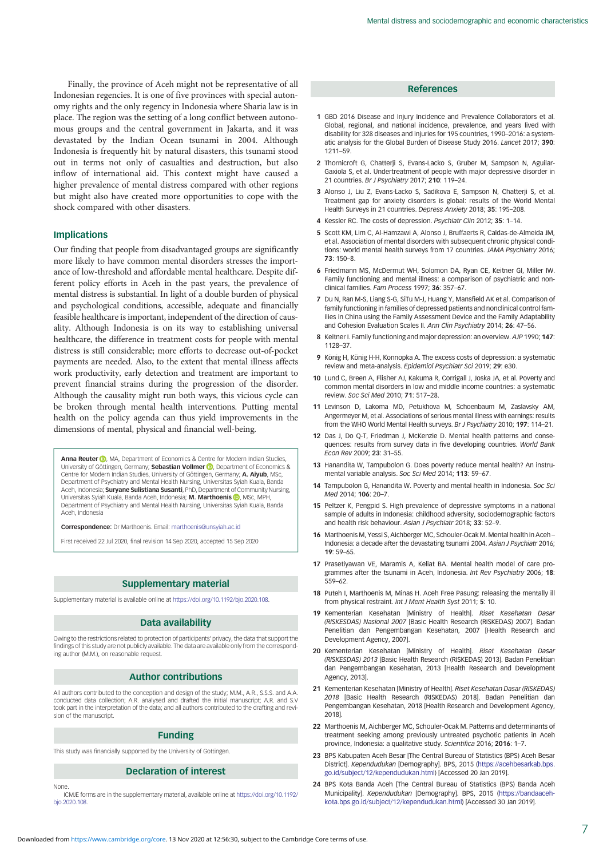<span id="page-6-0"></span>Finally, the province of Aceh might not be representative of all Indonesian regencies. It is one of five provinces with special autonomy rights and the only regency in Indonesia where Sharia law is in place. The region was the setting of a long conflict between autonomous groups and the central government in Jakarta, and it was devastated by the Indian Ocean tsunami in 2004. Although Indonesia is frequently hit by natural disasters, this tsunami stood out in terms not only of casualties and destruction, but also inflow of international aid. This context might have caused a higher prevalence of mental distress compared with other regions but might also have created more opportunities to cope with the shock compared with other disasters.

## Implications

Our finding that people from disadvantaged groups are significantly more likely to have common mental disorders stresses the importance of low-threshold and affordable mental healthcare. Despite different policy efforts in Aceh in the past years, the prevalence of mental distress is substantial. In light of a double burden of physical and psychological conditions, accessible, adequate and financially feasible healthcare is important, independent of the direction of causality. Although Indonesia is on its way to establishing universal healthcare, the difference in treatment costs for people with mental distress is still considerable; more efforts to decrease out-of-pocket payments are needed. Also, to the extent that mental illness affects work productivity, early detection and treatment are important to prevent financial strains during the progression of the disorder. Although the causality might run both ways, this vicious cycle can be broken through mental health interventions. Putting mental health on the policy agenda can thus yield improvements in the dimensions of mental, physical and financial well-being.

**Anna Reuter D**, MA, Department of Economics & Centre for Modern Indian Studies University of Göttingen, Germany; **Sebastian Vollmer D**, Department of Economics & Centre for Modern Indian Studies, University of Göttingen, Germany; A. Aiyub, MSc, Department of Psychiatry and Mental Health Nursing, Universitas Syiah Kuala, Banda Aceh, Indonesia; Suryane Sulistiana Susanti, PhD, Department of Community Nursing, Universitas Syiah Kuala, Banda Aceh, Indonesia; M. Marthoenis (D. MSc, MPH Department of Psychiatry and Mental Health Nursing, Universitas Syiah Kuala, Banda Aceh, Indonesia

Correspondence: Dr Marthoenis. Email: [marthoenis@unsyiah.ac.id](mailto:marthoenis@unsyiah.ac.id)

First received 22 Jul 2020, final revision 14 Sep 2020, accepted 15 Sep 2020

# Supplementary material

Supplementary material is available online at [https://doi.org/10.1192/bjo.2020.108.](https://doi.org/10.1192/bjo.2020.108)

## Data availability

Owing to the restrictions related to protection of participants' privacy, the data that support the findings of this study are not publicly available. The data are available only from the corresponding author (M.M.), on reasonable request.

#### Author contributions

All authors contributed to the conception and design of the study; M.M., A.R., S.S.S. and A.A. conducted data collection; A.R. analysed and drafted the initial manuscript; A.R. and S.V took part in the interpretation of the data; and all authors contributed to the drafting and revision of the manuscript.

## Funding

This study was financially supported by the University of Gottingen.

#### Declaration of interest

None.

ICMJE forms are in the supplementary material, available online at [https://doi.org/10.1192/](https://doi.org/10.1192/bjo.2020.108) [bjo.2020.108.](https://doi.org/10.1192/bjo.2020.108)

#### References

- 1 GBD 2016 Disease and Injury Incidence and Prevalence Collaborators et al. Global, regional, and national incidence, prevalence, and years lived with disability for 328 diseases and injuries for 195 countries, 1990–2016: a systematic analysis for the Global Burden of Disease Study 2016. Lancet 2017; 390: 1211–59.
- 2 Thornicroft G, Chatterji S, Evans-Lacko S, Gruber M, Sampson N, Aguilar-Gaxiola S, et al. Undertreatment of people with major depressive disorder in 21 countries. Br J Psychiatry 2017; 210: 119–24.
- 3 Alonso J, Liu Z, Evans-Lacko S, Sadikova E, Sampson N, Chatterji S, et al. Treatment gap for anxiety disorders is global: results of the World Mental Health Surveys in 21 countries. Depress Anxiety 2018; 35: 195–208.
- 4 Kessler RC. The costs of depression. Psychiatr Clin 2012; 35: 1–14.
- 5 Scott KM, Lim C, Al-Hamzawi A, Alonso J, Bruffaerts R, Caldas-de-Almeida JM, et al. Association of mental disorders with subsequent chronic physical conditions: world mental health surveys from 17 countries. JAMA Psychiatry 2016; 73: 150–8.
- 6 Friedmann MS, McDermut WH, Solomon DA, Ryan CE, Keitner GI, Miller IW. Family functioning and mental illness: a comparison of psychiatric and nonclinical families. Fam Process 1997; 36: 357–67.
- 7 Du N, Ran M-S, Liang S-G, SiTu M-J, Huang Y, Mansfield AK et al. Comparison of family functioning in families of depressed patients and nonclinical control families in China using the Family Assessment Device and the Family Adaptability and Cohesion Evaluation Scales II. Ann Clin Psychiatry 2014; 26: 47–56.
- 8 Keitner I. Family functioning and major depression: an overview. AJP 1990; 147: 1128–37.
- 9 König H, König H-H, Konnopka A. The excess costs of depression: a systematic review and meta-analysis. Epidemiol Psychiatr Sci 2019; 29: e30.
- 10 Lund C, Breen A, Flisher AJ, Kakuma R, Corrigall J, Joska JA, et al. Poverty and common mental disorders in low and middle income countries: a systematic review. Soc Sci Med 2010; 71: 517–28.
- 11 Levinson D, Lakoma MD, Petukhova M, Schoenbaum M, Zaslavsky AM, Angermeyer M, et al. Associations of serious mental illness with earnings: results from the WHO World Mental Health surveys. Br J Psychiatry 2010; 197: 114–21.
- 12 Das J, Do O-T, Friedman J, McKenzie D, Mental health patterns and consequences: results from survey data in five developing countries. World Bank Econ Rev 2009; 23: 31–55.
- 13 Hanandita W, Tampubolon G. Does poverty reduce mental health? An instrumental variable analysis. Soc Sci Med 2014; 113: 59–67.
- 14 Tampubolon G, Hanandita W. Poverty and mental health in Indonesia. Soc Sci Med 2014; 106: 20–7.
- 15 Peltzer K, Pengpid S. High prevalence of depressive symptoms in a national sample of adults in Indonesia: childhood adversity, sociodemographic factors and health risk behaviour. Asian J Psychiatr 2018; 33: 52–9.
- 16 Marthoenis M, Yessi S, Aichberger MC, Schouler-Ocak M. Mental health in Aceh Indonesia: a decade after the devastating tsunami 2004. Asian J Psychiatr 2016; 19: 59–65.
- 17 Prasetiyawan VE, Maramis A, Keliat BA. Mental health model of care programmes after the tsunami in Aceh, Indonesia. Int Rev Psychiatry 2006; 18: 559–62.
- 18 Puteh I, Marthoenis M, Minas H, Aceh Free Pasung: releasing the mentally ill from physical restraint. Int J Ment Health Syst 2011; 5: 10.
- 19 Kementerian Kesehatan [Ministry of Health]. Riset Kesehatan Dasar (RISKESDAS) Nasional 2007 [Basic Health Research (RISKEDAS) 2007]. Badan Penelitian dan Pengembangan Kesehatan, 2007 [Health Research and Development Agency, 2007].
- 20 Kementerian Kesehatan [Ministry of Health]. Riset Kesehatan Dasar (RISKESDAS) 2013 [Basic Health Research (RISKEDAS) 2013]. Badan Penelitian dan Pengembangan Kesehatan, 2013 [Health Research and Development Agency, 2013].
- 21 Kementerian Kesehatan [Ministry of Health]. Riset Kesehatan Dasar (RISKEDAS) 2018 [Basic Health Research (RISKEDAS) 2018]. Badan Penelitian dan Pengembangan Kesehatan, 2018 [Health Research and Development Agency, 2018].
- 22 Marthoenis M, Aichberger MC, Schouler-Ocak M. Patterns and determinants of treatment seeking among previously untreated psychotic patients in Aceh province, Indonesia: a qualitative study. Scientifica 2016; 2016: 1–7.
- 23 BPS Kabupaten Aceh Besar [The Central Bureau of Statistics (BPS) Aceh Besar District]. Kependudukan [Demography]. BPS, 2015 ([https://acehbesarkab.bps.](https://acehbesarkab.bps.go.id/subject/12/kependudukan.html) [go.id/subject/12/kependudukan.html](https://acehbesarkab.bps.go.id/subject/12/kependudukan.html)) [Accessed 20 Jan 2019].
- 24 BPS Kota Banda Aceh [The Central Bureau of Statistics (BPS) Banda Aceh Municipality]. Kependudukan [Demography]. BPS, 2015 [\(https://bandaaceh](https://bandaacehkota.bps.go.id/subject/12/kependudukan.html)[kota.bps.go.id/subject/12/kependudukan.html](https://bandaacehkota.bps.go.id/subject/12/kependudukan.html)) [Accessed 30 Jan 2019].